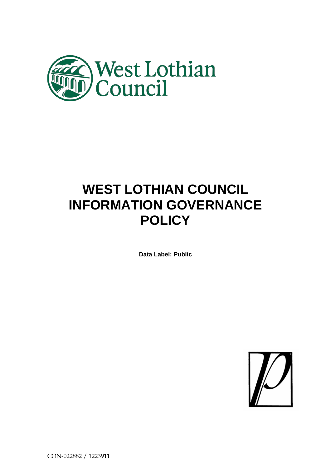

# **WEST LOTHIAN COUNCIL INFORMATION GOVERNANCE POLICY**

**Data Label: Public**



CON-022882 / 1223911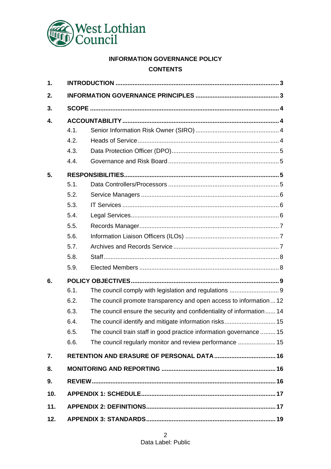

# **INFORMATION GOVERNANCE POLICY**

# **CONTENTS**

| 1.  |      |                                                                       |  |
|-----|------|-----------------------------------------------------------------------|--|
| 2.  |      |                                                                       |  |
| 3.  |      |                                                                       |  |
| 4.  |      |                                                                       |  |
|     | 4.1. |                                                                       |  |
|     | 4.2. |                                                                       |  |
|     | 4.3. |                                                                       |  |
|     | 4.4. |                                                                       |  |
| 5.  |      |                                                                       |  |
|     | 5.1. |                                                                       |  |
|     | 5.2. |                                                                       |  |
|     | 5.3. |                                                                       |  |
|     | 5.4. |                                                                       |  |
|     | 5.5. |                                                                       |  |
|     | 5.6. |                                                                       |  |
|     | 5.7. |                                                                       |  |
|     | 5.8. |                                                                       |  |
|     | 5.9. |                                                                       |  |
| 6.  |      |                                                                       |  |
|     | 6.1. |                                                                       |  |
|     | 6.2. | The council promote transparency and open access to information12     |  |
|     | 6.3. | The council ensure the security and confidentiality of information 14 |  |
|     | 6.4. |                                                                       |  |
|     | 6.5. | The council train staff in good practice information governance  15   |  |
|     | 6.6. |                                                                       |  |
| 7.  |      |                                                                       |  |
| 8.  |      |                                                                       |  |
| 9.  |      |                                                                       |  |
| 10. |      |                                                                       |  |
| 11. |      |                                                                       |  |
| 12. |      |                                                                       |  |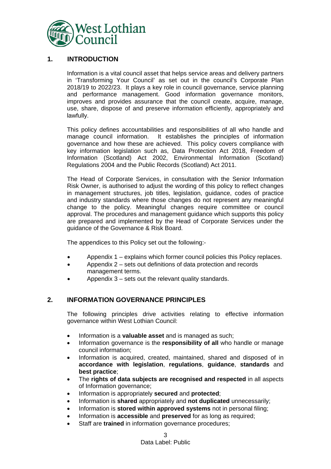

## **1. INTRODUCTION**

<span id="page-2-0"></span>Information is a vital council asset that helps service areas and delivery partners in 'Transforming Your Council' as set out in the council's Corporate Plan 2018/19 to 2022/23. It plays a key role in council governance, service planning and performance management. Good information governance monitors, improves and provides assurance that the council create, acquire, manage, use, share, dispose of and preserve information efficiently, appropriately and lawfully.

This policy defines accountabilities and responsibilities of all who handle and manage council information. It establishes the principles of information governance and how these are achieved. This policy covers compliance with key information legislation such as, Data Protection Act 2018, Freedom of Information (Scotland) Act 2002, Environmental Information (Scotland) Regulations 2004 and the Public Records (Scotland) Act 2011.

The Head of Corporate Services, in consultation with the Senior Information Risk Owner, is authorised to adjust the wording of this policy to reflect changes in management structures, job titles, legislation, guidance, codes of practice and industry standards where those changes do not represent any meaningful change to the policy. Meaningful changes require committee or council approval. The procedures and management guidance which supports this policy are prepared and implemented by the Head of Corporate Services under the guidance of the Governance & Risk Board.

The appendices to this Policy set out the following:-

- Appendix 1 explains which former council policies this Policy replaces.
- Appendix 2 sets out definitions of data protection and records management terms.
- Appendix 3 sets out the relevant quality standards.

## <span id="page-2-1"></span>**2. INFORMATION GOVERNANCE PRINCIPLES**

The following principles drive activities relating to effective information governance within West Lothian Council:

- Information is a **valuable asset** and is managed as such;
- Information governance is the **responsibility of all** who handle or manage council information;
- Information is acquired, created, maintained, shared and disposed of in **accordance with legislation**, **regulations**, **guidance**, **standards** and **best practice**;
- The **rights of data subjects are recognised and respected** in all aspects of Information governance;
- Information is appropriately **secured** and **protected**;
- Information is **shared** appropriately and **not duplicated** unnecessarily;
- Information is **stored within approved systems** not in personal filing;
- Information is **accessible** and **preserved** for as long as required;
- Staff are **trained** in information governance procedures;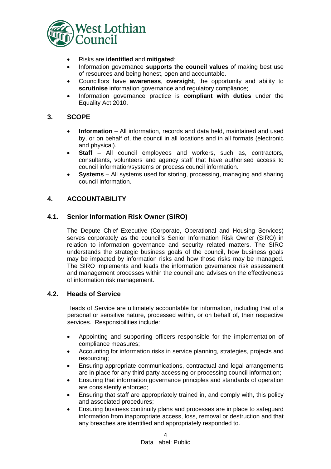

- Risks are **identified** and **mitigated**;
- Information governance **supports the council values** of making best use of resources and being honest, open and accountable.
- Councillors have **awareness**, **oversight**, the opportunity and ability to **scrutinise** information governance and regulatory compliance;
- Information governance practice is **compliant with duties** under the Equality Act 2010.

## <span id="page-3-0"></span>**3. SCOPE**

- **Information** All information, records and data held, maintained and used by, or on behalf of, the council in all locations and in all formats (electronic and physical).
- **Staff** All council employees and workers, such as, contractors, consultants, volunteers and agency staff that have authorised access to council information/systems or process council information.
- **Systems** All systems used for storing, processing, managing and sharing council information.

## <span id="page-3-1"></span>**4. ACCOUNTABILITY**

## <span id="page-3-2"></span>**4.1. Senior Information Risk Owner (SIRO)**

The Depute Chief Executive (Corporate, Operational and Housing Services) serves corporately as the council's Senior Information Risk Owner (SIRO) in relation to information governance and security related matters. The SIRO understands the strategic business goals of the council, how business goals may be impacted by information risks and how those risks may be managed. The SIRO implements and leads the information governance risk assessment and management processes within the council and advises on the effectiveness of information risk management.

#### <span id="page-3-3"></span>**4.2. Heads of Service**

Heads of Service are ultimately accountable for information, including that of a personal or sensitive nature, processed within, or on behalf of, their respective services. Responsibilities include:

- Appointing and supporting officers responsible for the implementation of compliance measures;
- Accounting for information risks in service planning, strategies, projects and resourcing;
- Ensuring appropriate communications, contractual and legal arrangements are in place for any third party accessing or processing council information;
- Ensuring that information governance principles and standards of operation are consistently enforced;
- Ensuring that staff are appropriately trained in, and comply with, this policy and associated procedures;
- Ensuring business continuity plans and processes are in place to safeguard information from inappropriate access, loss, removal or destruction and that any breaches are identified and appropriately responded to.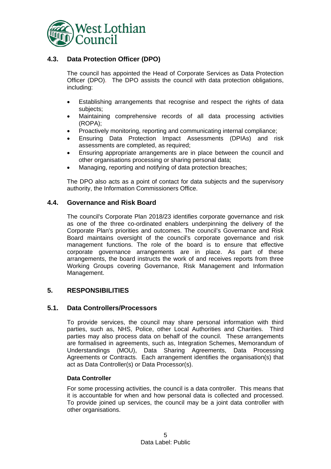

# <span id="page-4-0"></span>**4.3. Data Protection Officer (DPO)**

The council has appointed the Head of Corporate Services as Data Protection Officer (DPO). The DPO assists the council with data protection obligations, including:

- Establishing arrangements that recognise and respect the rights of data subjects;
- Maintaining comprehensive records of all data processing activities (ROPA);
- Proactively monitoring, reporting and communicating internal compliance;
- Ensuring Data Protection Impact Assessments (DPIAs) and risk assessments are completed, as required;
- Ensuring appropriate arrangements are in place between the council and other organisations processing or sharing personal data;
- Managing, reporting and notifying of data protection breaches;

The DPO also acts as a point of contact for data subjects and the supervisory authority, the Information Commissioners Office.

## <span id="page-4-1"></span>**4.4. Governance and Risk Board**

The council's Corporate Plan 2018/23 identifies corporate governance and risk as one of the three co-ordinated enablers underpinning the delivery of the Corporate Plan's priorities and outcomes. The council's Governance and Risk Board maintains oversight of the council's corporate governance and risk management functions. The role of the board is to ensure that effective corporate governance arrangements are in place. As part of these arrangements, the board instructs the work of and receives reports from three Working Groups covering Governance, Risk Management and Information Management.

## <span id="page-4-2"></span>**5. RESPONSIBILITIES**

#### <span id="page-4-3"></span>**5.1. Data Controllers/Processors**

To provide services, the council may share personal information with third parties, such as, NHS, Police, other Local Authorities and Charities. Third parties may also process data on behalf of the council. These arrangements are formalised in agreements, such as, Integration Schemes, Memorandum of Understandings (MOU), Data Sharing Agreements, Data Processing Agreements or Contracts. Each arrangement identifies the organisation(s) that act as Data Controller(s) or Data Processor(s).

#### **Data Controller**

For some processing activities, the council is a data controller. This means that it is accountable for when and how personal data is collected and processed. To provide joined up services, the council may be a joint data controller with other organisations.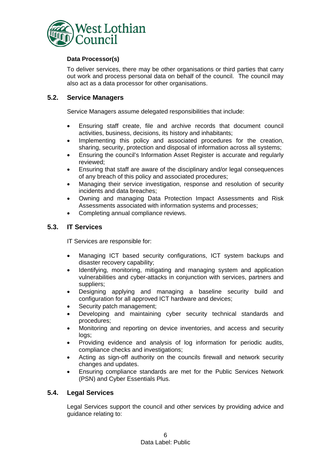

#### **Data Processor(s)**

To deliver services, there may be other organisations or third parties that carry out work and process personal data on behalf of the council. The council may also act as a data processor for other organisations.

## <span id="page-5-0"></span>**5.2. Service Managers**

Service Managers assume delegated responsibilities that include:

- Ensuring staff create, file and archive records that document council activities, business, decisions, its history and inhabitants;
- Implementing this policy and associated procedures for the creation, sharing, security, protection and disposal of information across all systems;
- Ensuring the council's Information Asset Register is accurate and regularly reviewed;
- Ensuring that staff are aware of the disciplinary and/or legal consequences of any breach of this policy and associated procedures;
- Managing their service investigation, response and resolution of security incidents and data breaches;
- Owning and managing Data Protection Impact Assessments and Risk Assessments associated with information systems and processes;
- Completing annual compliance reviews.

## <span id="page-5-1"></span>**5.3. IT Services**

IT Services are responsible for:

- Managing ICT based security configurations, ICT system backups and disaster recovery capability;
- Identifying, monitoring, mitigating and managing system and application vulnerabilities and cyber-attacks in conjunction with services, partners and suppliers;
- Designing applying and managing a baseline security build and configuration for all approved ICT hardware and devices;
- Security patch management;
- Developing and maintaining cyber security technical standards and procedures;
- Monitoring and reporting on device inventories, and access and security logs;
- Providing evidence and analysis of log information for periodic audits, compliance checks and investigations;
- Acting as sign-off authority on the councils firewall and network security changes and updates.
- Ensuring compliance standards are met for the Public Services Network (PSN) and Cyber Essentials Plus.

#### <span id="page-5-2"></span>**5.4. Legal Services**

Legal Services support the council and other services by providing advice and guidance relating to: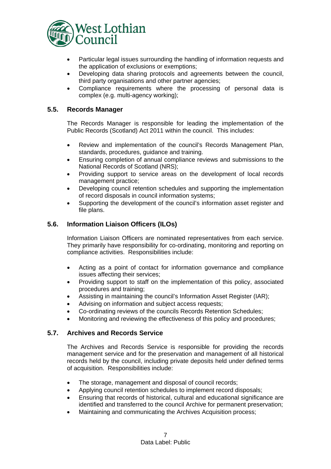

- Particular legal issues surrounding the handling of information requests and the application of exclusions or exemptions;
- Developing data sharing protocols and agreements between the council, third party organisations and other partner agencies;
- Compliance requirements where the processing of personal data is complex (e.g. multi-agency working);

## <span id="page-6-0"></span>**5.5. Records Manager**

The Records Manager is responsible for leading the implementation of the Public Records (Scotland) Act 2011 within the council. This includes:

- Review and implementation of the council's Records Management Plan, standards, procedures, guidance and training.
- Ensuring completion of annual compliance reviews and submissions to the National Records of Scotland (NRS);
- Providing support to service areas on the development of local records management practice;
- Developing council retention schedules and supporting the implementation of record disposals in council information systems;
- Supporting the development of the council's information asset register and file plans.

## <span id="page-6-1"></span>**5.6. Information Liaison Officers (ILOs)**

Information Liaison Officers are nominated representatives from each service. They primarily have responsibility for co-ordinating, monitoring and reporting on compliance activities. Responsibilities include:

- Acting as a point of contact for information governance and compliance issues affecting their services;
- Providing support to staff on the implementation of this policy, associated procedures and training;
- Assisting in maintaining the council's Information Asset Register (IAR);
- Advising on information and subject access requests;
- Co-ordinating reviews of the councils Records Retention Schedules;
- Monitoring and reviewing the effectiveness of this policy and procedures;

#### <span id="page-6-2"></span>**5.7. Archives and Records Service**

The Archives and Records Service is responsible for providing the records management service and for the preservation and management of all historical records held by the council, including private deposits held under defined terms of acquisition. Responsibilities include:

- The storage, management and disposal of council records;
- Applying council retention schedules to implement record disposals;
- Ensuring that records of historical, cultural and educational significance are identified and transferred to the council Archive for permanent preservation;
- Maintaining and communicating the Archives Acquisition process;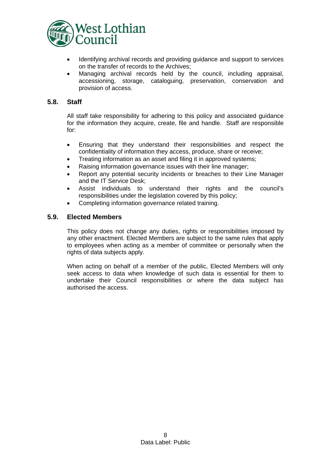

- Identifying archival records and providing guidance and support to services on the transfer of records to the Archives;
- Managing archival records held by the council, including appraisal, accessioning, storage, cataloguing, preservation, conservation and provision of access.

## <span id="page-7-0"></span>**5.8. Staff**

All staff take responsibility for adhering to this policy and associated guidance for the information they acquire, create, file and handle. Staff are responsible for:

- Ensuring that they understand their responsibilities and respect the confidentiality of information they access, produce, share or receive;
- Treating information as an asset and filing it in approved systems;
- Raising information governance issues with their line manager;
- Report any potential security incidents or breaches to their Line Manager and the IT Service Desk;
- Assist individuals to understand their rights and the council's responsibilities under the legislation covered by this policy;
- Completing information governance related training.

## <span id="page-7-1"></span>**5.9. Elected Members**

This policy does not change any duties, rights or responsibilities imposed by any other enactment. Elected Members are subject to the same rules that apply to employees when acting as a member of committee or personally when the rights of data subjects apply.

When acting on behalf of a member of the public, Elected Members will only seek access to data when knowledge of such data is essential for them to undertake their Council responsibilities or where the data subject has authorised the access.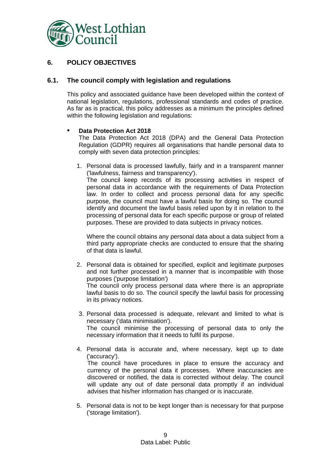

# <span id="page-8-0"></span>**6. POLICY OBJECTIVES**

## <span id="page-8-1"></span>**6.1. The council comply with legislation and regulations**

This policy and associated guidance have been developed within the context of national legislation, regulations, professional standards and codes of practice. As far as is practical, this policy addresses as a minimum the principles defined within the following legislation and regulations:

#### • **Data Protection Act 2018**

The Data Protection Act 2018 (DPA) and the General Data Protection Regulation (GDPR) requires all organisations that handle personal data to comply with seven data protection principles:

1. Personal data is processed lawfully, fairly and in a transparent manner ('lawfulness, fairness and transparency').

The council keep records of its processing activities in respect of personal data in accordance with the requirements of Data Protection law. In order to collect and process personal data for any specific purpose, the council must have a lawful basis for doing so. The council identify and document the lawful basis relied upon by it in relation to the processing of personal data for each specific purpose or group of related purposes. These are provided to data subjects in privacy notices.

Where the council obtains any personal data about a data subject from a third party appropriate checks are conducted to ensure that the sharing of that data is lawful.

- 2. Personal data is obtained for specified, explicit and legitimate purposes and not further processed in a manner that is incompatible with those purposes ('purpose limitation') The council only process personal data where there is an appropriate lawful basis to do so. The council specify the lawful basis for processing in its privacy notices.
- 3. Personal data processed is adequate, relevant and limited to what is necessary ('data minimisation'). The council minimise the processing of personal data to only the necessary information that it needs to fulfil its purpose.
- 4. Personal data is accurate and, where necessary, kept up to date ('accuracy'). The council have procedures in place to ensure the accuracy and currency of the personal data it processes. Where inaccuracies are discovered or notified, the data is corrected without delay. The council will update any out of date personal data promptly if an individual advises that his/her information has changed or is inaccurate.
- 5. Personal data is not to be kept longer than is necessary for that purpose ('storage limitation').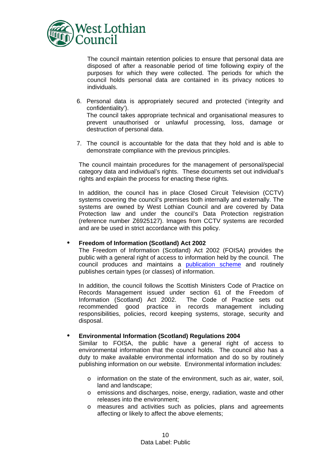

The council maintain retention policies to ensure that personal data are disposed of after a reasonable period of time following expiry of the purposes for which they were collected. The periods for which the council holds personal data are contained in its privacy notices to individuals.

- 6. Personal data is appropriately secured and protected ('integrity and confidentiality'). The council takes appropriate technical and organisational measures to prevent unauthorised or unlawful processing, loss, damage or destruction of personal data.
- 7. The council is accountable for the data that they hold and is able to demonstrate compliance with the previous principles.

The council maintain procedures for the management of personal/special category data and individual's rights. These documents set out individual's rights and explain the process for enacting these rights.

In addition, the council has in place Closed Circuit Television (CCTV) systems covering the council's premises both internally and externally. The systems are owned by West Lothian Council and are covered by Data Protection law and under the council's Data Protection registration (reference number Z6925127). Images from CCTV systems are recorded and are be used in strict accordance with this policy.

#### • **Freedom of Information (Scotland) Act 2002**

The Freedom of Information (Scotland) Act 2002 (FOISA) provides the public with a general right of access to information held by the council. The council produces and maintains a [publication](https://www.westlothian.gov.uk/article/1966/Guide-to-the-West-Lothian-Council-Publication-Scheme-2017) scheme and routinely publishes certain types (or classes) of information.

In addition, the council follows the Scottish Ministers Code of Practice on Records Management issued under section 61 of the Freedom of Information (Scotland) Act 2002. The Code of Practice sets out recommended good practice in records management including responsibilities, policies, record keeping systems, storage, security and disposal.

#### • **Environmental Information (Scotland) Regulations 2004**

Similar to FOISA, the public have a general right of access to environmental information that the council holds. The council also has a duty to make available environmental information and do so by routinely publishing information on our website. Environmental information includes:

- $\circ$  information on the state of the environment, such as air, water, soil, land and landscape;
- o emissions and discharges, noise, energy, radiation, waste and other releases into the environment;
- o measures and activities such as policies, plans and agreements affecting or likely to affect the above elements;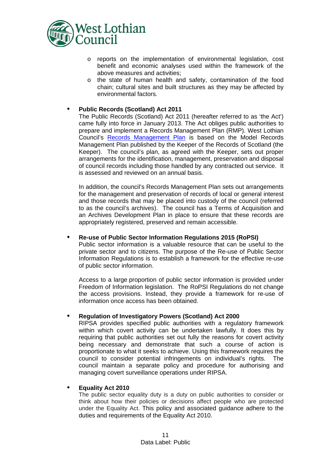

- o reports on the implementation of environmental legislation, cost benefit and economic analyses used within the framework of the above measures and activities;
- o the state of human health and safety, contamination of the food chain; cultural sites and built structures as they may be affected by environmental factors.

#### • **Public Records (Scotland) Act 2011**

The Public Records (Scotland) Act 2011 (hereafter referred to as 'the Act') came fully into force in January 2013. The Act obliges public authorities to prepare and implement a Records Management Plan (RMP). West Lothian Council's [Records Management Plan](https://www.westlothian.gov.uk/records-management) is based on the Model Records Management Plan published by the Keeper of the Records of Scotland (the Keeper). The council's plan, as agreed with the Keeper, sets out proper arrangements for the identification, management, preservation and disposal of council records including those handled by any contracted out service. It is assessed and reviewed on an annual basis.

In addition, the council's Records Management Plan sets out arrangements for the management and preservation of records of local or general interest and those records that may be placed into custody of the council (referred to as the council's archives). The council has a Terms of Acquisition and an Archives Development Plan in place to ensure that these records are appropriately registered, preserved and remain accessible.

#### • **Re-use of Public Sector Information Regulations 2015 (RoPSI)**

Public sector information is a valuable resource that can be useful to the private sector and to citizens. The purpose of the Re-use of Public Sector Information Regulations is to establish a framework for the effective re-use of public sector information.

Access to a large proportion of public sector information is provided under Freedom of Information legislation. The RoPSI Regulations do not change the access provisions. Instead, they provide a framework for re-use of information once access has been obtained.

#### • **Regulation of Investigatory Powers (Scotland) Act 2000**

RIPSA provides specified public authorities with a regulatory framework within which covert activity can be undertaken lawfully. It does this by requiring that public authorities set out fully the reasons for covert activity being necessary and demonstrate that such a course of action is proportionate to what it seeks to achieve. Using this framework requires the council to consider potential infringements on individual's rights. The council maintain a separate policy and procedure for authorising and managing covert surveillance operations under RIPSA.

#### • **Equality Act 2010**

The public sector equality duty is a duty on public authorities to consider or think about how their policies or decisions affect people who are protected under the Equality Act. This policy and associated guidance adhere to the duties and requirements of the Equality Act 2010.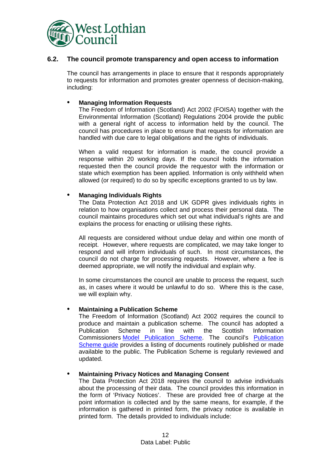

### <span id="page-11-0"></span>**6.2. The council promote transparency and open access to information**

The council has arrangements in place to ensure that it responds appropriately to requests for information and promotes greater openness of decision-making, including:

#### • **Managing Information Requests**

The Freedom of Information (Scotland) Act 2002 (FOISA) together with the Environmental Information (Scotland) Regulations 2004 provide the public with a general right of access to information held by the council. The council has procedures in place to ensure that requests for information are handled with due care to legal obligations and the rights of individuals.

When a valid request for information is made, the council provide a response within 20 working days. If the council holds the information requested then the council provide the requestor with the information or state which exemption has been applied. Information is only withheld when allowed (or required) to do so by specific exceptions granted to us by law.

#### • **Managing Individuals Rights**

The Data Protection Act 2018 and UK GDPR gives individuals rights in relation to how organisations collect and process their personal data. The council maintains procedures which set out what individual's rights are and explains the process for enacting or utilising these rights.

All requests are considered without undue delay and within one month of receipt. However, where requests are complicated, we may take longer to respond and will inform individuals of such. In most circumstances, the council do not charge for processing requests. However, where a fee is deemed appropriate, we will notify the individual and explain why.

In some circumstances the council are unable to process the request, such as, in cases where it would be unlawful to do so. Where this is the case, we will explain why.

#### • **Maintaining a Publication Scheme**

The Freedom of Information (Scotland) Act 2002 requires the council to produce and maintain a publication scheme. The council has adopted a Publication Scheme in line with the Scottish Information Publication Scheme in line with the Scottish Information Commissioners Model [Publication Scheme.](http://www.itspublicknowledge.info/ScottishPublicAuthorities/PublicationSchemes/PublicationSchemesHome.aspx) The council's [Publication](https://www.westlothian.gov.uk/article/33849/Guide-to-the-West-Lothian-Council-Publication-Scheme-2017)  [Scheme guide](https://www.westlothian.gov.uk/article/33849/Guide-to-the-West-Lothian-Council-Publication-Scheme-2017) provides a listing of documents routinely published or made available to the public. The Publication Scheme is regularly reviewed and updated.

#### • **Maintaining Privacy Notices and Managing Consent**

The Data Protection Act 2018 requires the council to advise individuals about the processing of their data. The council provides this information in the form of 'Privacy Notices'. These are provided free of charge at the point information is collected and by the same means, for example, if the information is gathered in printed form, the privacy notice is available in printed form. The details provided to individuals include: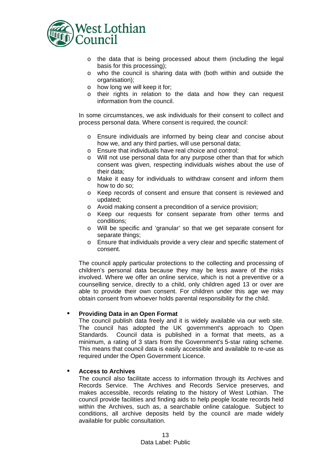

- o the data that is being processed about them (including the legal basis for this processing);
- o who the council is sharing data with (both within and outside the organisation);
- o how long we will keep it for;
- o their rights in relation to the data and how they can request information from the council.

In some circumstances, we ask individuals for their consent to collect and process personal data. Where consent is required, the council:

- o Ensure individuals are informed by being clear and concise about how we, and any third parties, will use personal data;
- o Ensure that individuals have real choice and control;
- o Will not use personal data for any purpose other than that for which consent was given, respecting individuals wishes about the use of their data;
- o Make it easy for individuals to withdraw consent and inform them how to do so;
- o Keep records of consent and ensure that consent is reviewed and updated;
- o Avoid making consent a precondition of a service provision;
- o Keep our requests for consent separate from other terms and conditions;
- o Will be specific and 'granular' so that we get separate consent for separate things;
- o Ensure that individuals provide a very clear and specific statement of consent.

The council apply particular protections to the collecting and processing of children's personal data because they may be less aware of the risks involved. Where we offer an online service, which is not a preventive or a counselling service, directly to a child, only children aged 13 or over are able to provide their own consent. For children under this age we may obtain consent from whoever holds parental responsibility for the child.

#### • **Providing Data in an Open Format**

The council publish data freely and it is widely available via our web site. The council has adopted the UK government's approach to Open Standards. Council data is published in a format that meets, as a minimum, a rating of 3 stars from the Government's 5-star rating scheme. This means that council data is easily accessible and available to re-use as required under the Open Government Licence.

#### • **Access to Archives**

The council also facilitate access to information through its Archives and Records Service. The Archives and Records Service preserves, and makes accessible, records relating to the history of West Lothian. The council provide facilities and finding aids to help people locate records held within the Archives, such as, a searchable online catalogue. Subject to conditions, all archive deposits held by the council are made widely available for public consultation.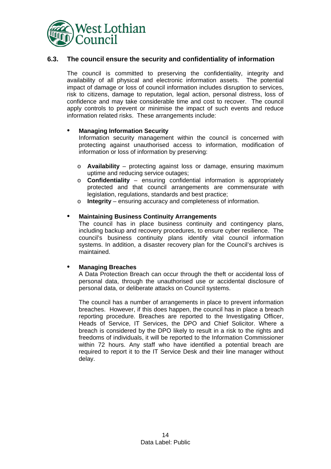

## <span id="page-13-0"></span>**6.3. The council ensure the security and confidentiality of information**

The council is committed to preserving the confidentiality, integrity and availability of all physical and electronic information assets. The potential impact of damage or loss of council information includes disruption to services, risk to citizens, damage to reputation, legal action, personal distress, loss of confidence and may take considerable time and cost to recover. The council apply controls to prevent or minimise the impact of such events and reduce information related risks. These arrangements include:

#### • **Managing Information Security**

Information security management within the council is concerned with protecting against unauthorised access to information, modification of information or loss of information by preserving:

- o **Availability**  protecting against loss or damage, ensuring maximum uptime and reducing service outages;
- o **Confidentiality** ensuring confidential information is appropriately protected and that council arrangements are commensurate with legislation, regulations, standards and best practice;
- o **Integrity** ensuring accuracy and completeness of information.

#### • **Maintaining Business Continuity Arrangements**

The council has in place business continuity and contingency plans, including backup and recovery procedures, to ensure cyber resilience. The council's business continuity plans identify vital council information systems. In addition, a disaster recovery plan for the Council's archives is maintained.

#### • **Managing Breaches**

A Data Protection Breach can occur through the theft or accidental loss of personal data, through the unauthorised use or accidental disclosure of personal data, or deliberate attacks on Council systems.

<span id="page-13-1"></span>The council has a number of arrangements in place to prevent information breaches. However, if this does happen, the council has in place a breach reporting procedure. Breaches are reported to the Investigating Officer, Heads of Service, IT Services, the DPO and Chief Solicitor. Where a breach is considered by the DPO likely to result in a risk to the rights and freedoms of individuals, it will be reported to the Information Commissioner within 72 hours. Any staff who have identified a potential breach are required to report it to the IT Service Desk and their line manager without delay.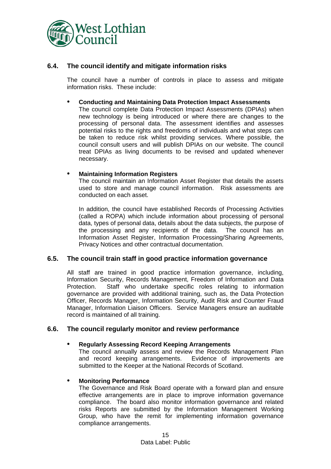

## **6.4. The council identify and mitigate information risks**

The council have a number of controls in place to assess and mitigate information risks. These include:

#### • **Conducting and Maintaining Data Protection Impact Assessments**

The council complete Data Protection Impact Assessments (DPIAs) when new technology is being introduced or where there are changes to the processing of personal data. The assessment identifies and assesses potential risks to the rights and freedoms of individuals and what steps can be taken to reduce risk whilst providing services. Where possible, the council consult users and will publish DPIAs on our website. The council treat DPIAs as living documents to be revised and updated whenever necessary.

#### • **Maintaining Information Registers**

The council maintain an Information Asset Register that details the assets used to store and manage council information. Risk assessments are conducted on each asset.

In addition, the council have established Records of Processing Activities (called a ROPA) which include information about processing of personal data, types of personal data, details about the data subjects, the purpose of the processing and any recipients of the data. The council has an Information Asset Register, Information Processing/Sharing Agreements, Privacy Notices and other contractual documentation.

## <span id="page-14-0"></span>**6.5. The council train staff in good practice information governance**

All staff are trained in good practice information governance, including, Information Security, Records Management, Freedom of Information and Data Protection. Staff who undertake specific roles relating to information governance are provided with additional training, such as, the Data Protection Officer, Records Manager, Information Security, Audit Risk and Counter Fraud Manager, Information Liaison Officers. Service Managers ensure an auditable record is maintained of all training.

#### <span id="page-14-1"></span>**6.6. The council regularly monitor and review performance**

#### • **Regularly Assessing Record Keeping Arrangements**

The council annually assess and review the Records Management Plan and record keeping arrangements. Evidence of improvements are submitted to the Keeper at the National Records of Scotland.

#### • **Monitoring Performance**

The Governance and Risk Board operate with a forward plan and ensure effective arrangements are in place to improve information governance compliance. The board also monitor information governance and related risks Reports are submitted by the Information Management Working Group, who have the remit for implementing information governance compliance arrangements.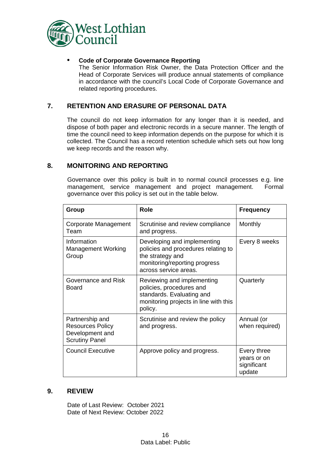

## • **Code of Corporate Governance Reporting**

The Senior Information Risk Owner, the Data Protection Officer and the Head of Corporate Services will produce annual statements of compliance in accordance with the council's Local Code of Corporate Governance and related reporting procedures.

## <span id="page-15-0"></span>**7. RETENTION AND ERASURE OF PERSONAL DATA**

The council do not keep information for any longer than it is needed, and dispose of both paper and electronic records in a secure manner. The length of time the council need to keep information depends on the purpose for which it is collected. The Council has a record retention schedule which sets out how long we keep records and the reason why.

## <span id="page-15-1"></span>**8. MONITORING AND REPORTING**

Governance over this policy is built in to normal council processes e.g. line<br>management, service management and project management. Formal management, service management and project management. governance over this policy is set out in the table below.

| Group                                                                                  | Role                                                                                                                                             | <b>Frequency</b>                                    |
|----------------------------------------------------------------------------------------|--------------------------------------------------------------------------------------------------------------------------------------------------|-----------------------------------------------------|
| Corporate Management<br>Team                                                           | Scrutinise and review compliance<br>and progress.                                                                                                | Monthly                                             |
| Information<br><b>Management Working</b><br>Group                                      | Developing and implementing<br>policies and procedures relating to<br>the strategy and<br>monitoring/reporting progress<br>across service areas. | Every 8 weeks                                       |
| Governance and Risk<br>Board                                                           | Reviewing and implementing<br>policies, procedures and<br>standards. Evaluating and<br>monitoring projects in line with this<br>policy.          | Quarterly                                           |
| Partnership and<br><b>Resources Policy</b><br>Development and<br><b>Scrutiny Panel</b> | Scrutinise and review the policy<br>and progress.                                                                                                | Annual (or<br>when required)                        |
| <b>Council Executive</b>                                                               | Approve policy and progress.                                                                                                                     | Every three<br>years or on<br>significant<br>update |

#### <span id="page-15-2"></span>**9. REVIEW**

Date of Last Review: October 2021 Date of Next Review: October 2022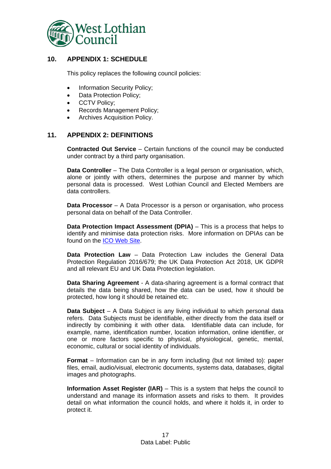

# <span id="page-16-0"></span>**10. APPENDIX 1: SCHEDULE**

This policy replaces the following council policies:

- Information Security Policy:
- Data Protection Policy;
- CCTV Policy;
- Records Management Policy;
- Archives Acquisition Policy.

## <span id="page-16-1"></span>**11. APPENDIX 2: DEFINITIONS**

**Contracted Out Service** – Certain functions of the council may be conducted under contract by a third party organisation.

**Data Controller** – The Data Controller is a legal person or organisation, which, alone or jointly with others, determines the purpose and manner by which personal data is processed. West Lothian Council and Elected Members are data controllers.

**Data Processor** – A Data Processor is a person or organisation, who process personal data on behalf of the Data Controller.

**Data Protection Impact Assessment (DPIA)** – This is a process that helps to identify and minimise data protection risks. More information on DPIAs can be found on the **ICO** Web Site.

**Data Protection Law** – Data Protection Law includes the General Data Protection Regulation 2016/679; the UK Data Protection Act 2018, UK GDPR and all relevant EU and UK Data Protection legislation.

**Data Sharing Agreement** - A data-sharing agreement is a formal contract that details the data being shared, how the data can be used, how it should be protected, how long it should be retained etc.

**Data Subject** – A Data Subject is any living individual to which personal data refers. Data Subjects must be identifiable, either directly from the data itself or indirectly by combining it with other data. Identifiable data can include, for example, name, identification number, location information, online identifier, or one or more factors specific to physical, physiological, genetic, mental, economic, cultural or social identity of individuals.

**Format** – Information can be in any form including (but not limited to): paper files, email, audio/visual, electronic documents, systems data, databases, digital images and photographs.

**Information Asset Register (IAR)** – This is a system that helps the council to understand and manage its information assets and risks to them. It provides detail on what information the council holds, and where it holds it, in order to protect it.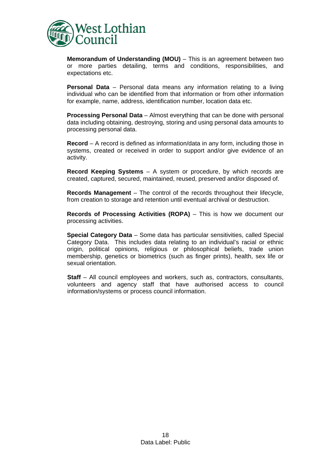

**Memorandum of Understanding (MOU)** – This is an agreement between two or more parties detailing, terms and conditions, responsibilities, and expectations etc.

**Personal Data** – Personal data means any information relating to a living individual who can be identified from that information or from other information for example, name, address, identification number, location data etc.

**Processing Personal Data** – Almost everything that can be done with personal data including obtaining, destroying, storing and using personal data amounts to processing personal data.

**Record** – A record is defined as information/data in any form, including those in systems, created or received in order to support and/or give evidence of an activity.

**Record Keeping Systems** – A system or procedure, by which records are created, captured, secured, maintained, reused, preserved and/or disposed of.

**Records Management** – The control of the records throughout their lifecycle, from creation to storage and retention until eventual archival or destruction.

**Records of Processing Activities (ROPA)** - This is how we document our processing activities.

**Special Category Data** – Some data has particular sensitivities, called Special Category Data. This includes data relating to an individual's racial or ethnic origin, political opinions, religious or philosophical beliefs, trade union membership, genetics or biometrics (such as finger prints), health, sex life or sexual orientation.

**Staff** – All council employees and workers, such as, contractors, consultants, volunteers and agency staff that have authorised access to council information/systems or process council information.